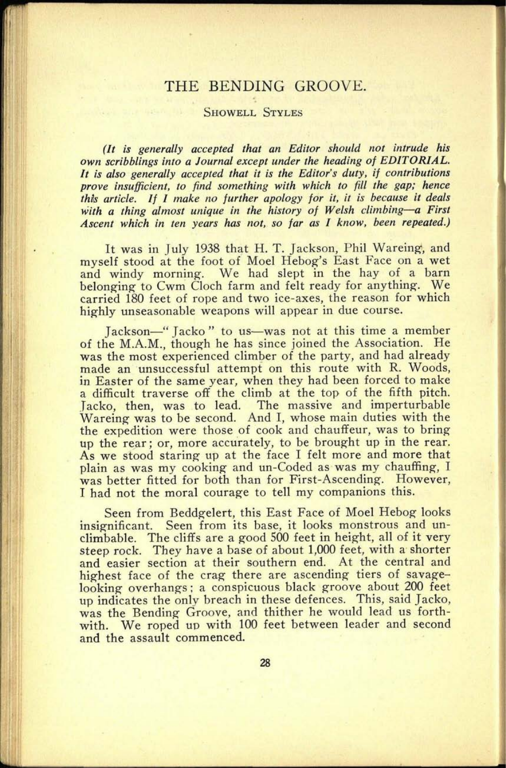# THE BENDING GROOVE.

#### SHOWELL STYLES

*(It is generally accepted that an Editor should not intrude his own scribblings into a Journal except under the heading of EDITORIAL. It is also generally accepted that it is the Editor's duty, if contributions prove insufficient, to find something with which to fill the gap; hence this article. If I make no further apology for it, it is because it deals with a thing almost unique in the history of Welsh climbing a First Ascent which in ten years has not, so far as I know, been repeated.)*

It was in July 1938 that H. T. Jackson, Phil Wareing, and myself stood at the foot of Moel Hebog's East Face on a wet and windy morning. We had slept in the hay of a barn belonging to Cwm Cloch farm and felt ready for anything. We carried 180 feet of rope and two ice-axes, the reason for which highly unseasonable weapons will appear in due course.

Jackson-" Jacko" to us-was not at this time a member of the M.A.M., though he has since joined the Association. He was the most experienced climber of the party, and had already made an unsuccessful attempt on this route with R. Woods, in Easter of the same year, when they had been forced to make a difficult traverse off the climb at the top of the fifth pitch. Jacko, then, was to lead. The massive and imperturbable Wareing was to be second. And I, whose main duties with the the expedition were those of cook and chauffeur, was to bring up the rear; or, more accurately, to be brought up in the rear. As we stood staring up at the face I felt more and more that <sup>p</sup>lain as was my cooking and un-Coded as was my chauffing, <sup>I</sup> was better fitted for both than for First-Ascending. However, <sup>I</sup>had not the moral courage to tell my companions this.

Seen from Beddgelert, this East Face of Moel Hebog looks insignificant. Seen from its base, it looks monstrous and unclimbable. The cliffs are <sup>a</sup>good 500 feet in height, all of it very steep rock. They have a base of about 1,000 feet, with a shorter and easier section at their southern end. At the central and highest face of the crag there are ascending tiers of savagelooking overhangs; a conspicuous black groove about 200 feet up indicates the only breach in these defences. This, said Jacko, was the Bending Groove, and thither he would lead us forthwith. We roped up with 100 feet between leader and second and the assault commenced.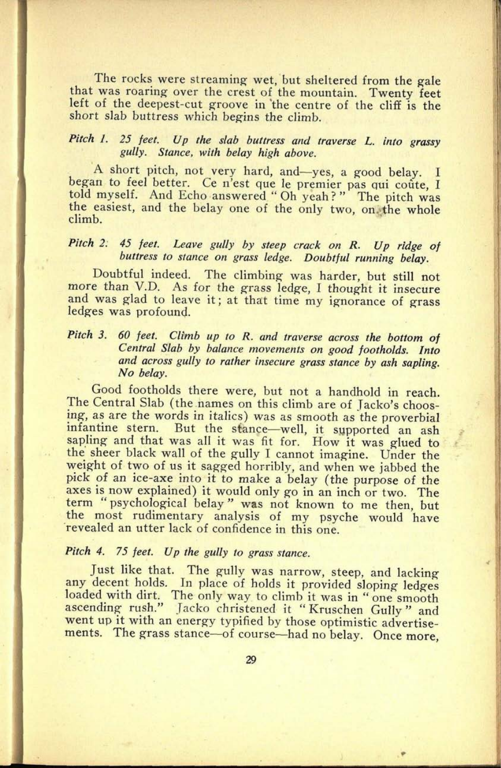The rocks were streaming wet, but sheltered from the gale that was roaring over the crest of the mountain. Twenty feet left of the deepest-cut groove in 'the centre of the cliff is the short slab buttress which begins the climb.

**39. 0126**

# *Pitch 1. 25 feet. Up the slab buttress and traverse L. into grassy gully. Stance, with belay high above.*

A short pitch, not very hard, and-yes, a good belay. I began to feel better. Ce n'est que le premier pas qui coûte, I told myself. And Echo answered "Oh yeah?" The pitch was the easiest, and the belay one of the only two, on the whole climb.

# *Pitch* 2. *45 feet. Leave gully by steep crack on R. Up ridge of buttress to stance on grass ledge. Doubtful running belay.*

Doubtful indeed. The climbing was harder, but still not more than V.D. As for the grass ledge, I thought it insecure and was glad to leave it; at that time my ignorance of grass ledges was profound.

#### *Pitch 3. 60 feet. Climb up to R. and traverse across the bottom of Central Slab by balance movements on good footholds. Into and across gully to rather insecure grass stance by ash sapling. No belay.*

Good footholds there were, but not a handhold in reach. The Central Slab (the names on this climb are of Jacko's choosing, as are the words in italics) was as smooth as the proverbial infantine stern. But the stance—well, it supported an ash sapling and that was all it was fit for. How it was glued to the sheer black wall of the gully I cannot imagine. Under the weight of two of us it sagged horribly, and when we jabbed the <sup>p</sup>ick of an ice-axe into it to make a belay (the purpose of the axes is now explained) it would only go in an inch or two. The term " psychological belay" was not known to me then, but the most rudimentary analysis of my psyche would have revealed an utter lack of confidence in this one.

# *Pitch 4.* 75 *feet. Up the gully to grass stance.*

Just like that. The gully was narrow, steep, and lacking any decent holds. In place of holds it provided sloping ledges loaded with dirt. The only way to climb it was in "one smooth ascending rush." Jacko christened it " Kruschen Gully" and went up it with an energy typified by those optimistic advertisements. The grass stance—of course—had no belay. Once more,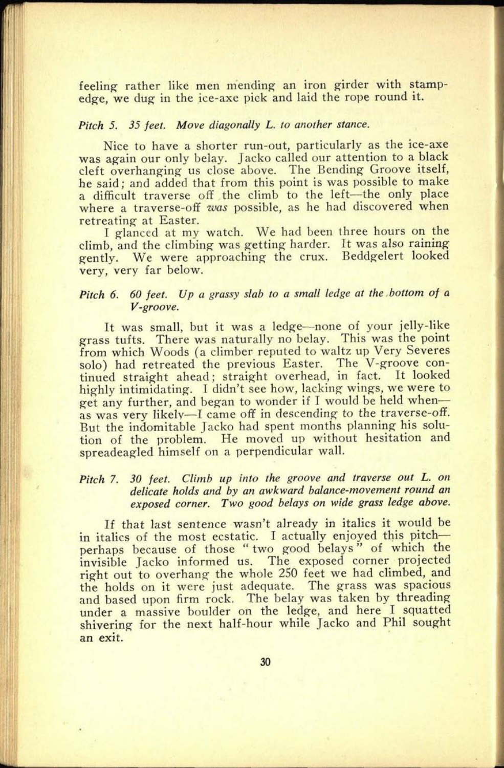feeling rather like men mending an iron girder with stampedge, we dug in the ice-axe pick and laid the rope round it.

#### *Pitch 5. 35 feet. Move diagonally L. to another stance.*

Nice to have a shorter run-out, particularly as the ice-axe was again our only belay. Jacko called our attention to a black cleft overhanging us close above. The Bending Groove itself, he said; and added that from this point is was possible to make a difficult traverse off the climb to the left-the only place where a traverse-off *was* possible, as he had discovered when retreating at Easter.

I glanced at my watch. We had been three hours on the climb, and the climbing was getting harder. It was also raining gently. We were approaching the crux. Beddgelert looked very, very far below.

# *Pitch 6. 60 feet. Up a grassy slab to a small ledge at the bottom of <sup>a</sup> V-groove.*

It was small, but it was a ledge-none of your jelly-like grass tufts. There was naturally no belay. This was the point from which Woods (a climber reputed to waltz up Very Severes solo) had retreated the previous Easter. The V-groove continued straight ahead; straight overhead, in fact. It looked highly intimidating. I didn't see how, lacking wings, we were to get any further, and began to wonder if I would be held when as was very likely-I came off in descending to the traverse-off. But the indomitable Jacko had spent months planning his solution of the problem. He moved up without hesitation and spreadeagled himself on a perpendicular wall.

### *Pitch 7. 30 feet. Climb up into the groove and traverse out L. on delicate holds and by an awkward balance-movement round an exposed corner. Two good belays on wide grass ledge above.*

If that last sentence wasn't already in italics it would be in italics of the most ecstatic. I actually enjoyed this pitchperhaps because of those " two good belays" of which the invisible Jacko informed us. The exposed corner projected right out to overhang the whole 250 feet we had climbed, and the holds on it were just adequate. The grass was spacious and based upon firm rock. The belay was taken by threading under a massive boulder on the ledge, and here I squatted shivering for the next half-hour while Jacko and Phil sought an exit.